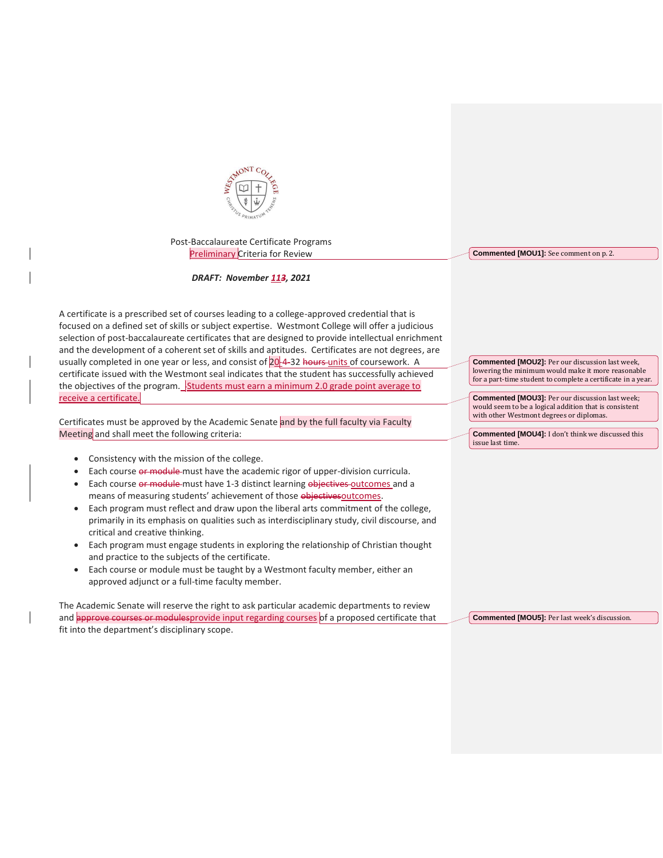

Post-Baccalaureate Certificate Programs Preliminary Criteria for Review

## *DRAFT: November 113, 2021*

A certificate is a prescribed set of courses leading to a college-approved credential that is focused on a defined set of skills or subject expertise. Westmont College will offer a judicious selection of post-baccalaureate certificates that are designed to provide intellectual enrichment and the development of a coherent set of skills and aptitudes. Certificates are not degrees, are usually completed in one year or less, and consist of 20-4-32 hours-units of coursework. A certificate issued with the Westmont seal indicates that the student has successfully achieved the objectives of the program.  $\frac{1}{2}$ Students must earn a minimum 2.0 grade point average to receive a certificate.

Certificates must be approved by the Academic Senate and by the full faculty via Faculty Meeting and shall meet the following criteria:

- Consistency with the mission of the college.
- Each course or module must have the academic rigor of upper-division curricula.
- Each course or module must have 1-3 distinct learning objectives outcomes and a means of measuring students' achievement of those objectives outcomes.
- Each program must reflect and draw upon the liberal arts commitment of the college, primarily in its emphasis on qualities such as interdisciplinary study, civil discourse, and critical and creative thinking.
- Each program must engage students in exploring the relationship of Christian thought and practice to the subjects of the certificate.
- Each course or module must be taught by a Westmont faculty member, either an approved adjunct or a full-time faculty member.

The Academic Senate will reserve the right to ask particular academic departments to review and approve courses or modulesprovide input regarding courses of a proposed certificate that fit into the department's disciplinary scope.

**Commented [MOU1]:** See comment on p. 2.

**Commented [MOU2]:** Per our discussion last week, lowering the minimum would make it more reasonable for a part-time student to complete a certificate in a year.

**Commented [MOU3]:** Per our discussion last week; would seem to be a logical addition that is consistent with other Westmont degrees or diplomas.

**Commented [MOU4]:** I don't think we discussed this issue last time.

**Commented [MOU5]:** Per last week's discussion.